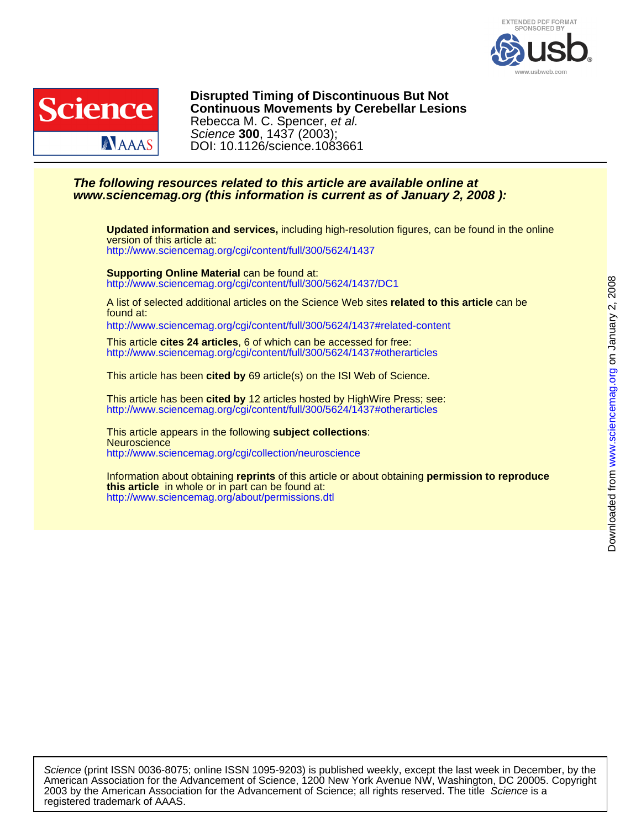



DOI: 10.1126/science.1083661 Science **300**, 1437 (2003); Rebecca M. C. Spencer, et al. **Continuous Movements by Cerebellar Lesions Disrupted Timing of Discontinuous But Not**

## **www.sciencemag.org (this information is current as of January 2, 2008 ): The following resources related to this article are available online at**

<http://www.sciencemag.org/cgi/content/full/300/5624/1437> version of this article at: **Updated information and services,** including high-resolution figures, can be found in the online

<http://www.sciencemag.org/cgi/content/full/300/5624/1437/DC1> **Supporting Online Material** can be found at:

found at: A list of selected additional articles on the Science Web sites **related to this article** can be

<http://www.sciencemag.org/cgi/content/full/300/5624/1437#related-content>

<http://www.sciencemag.org/cgi/content/full/300/5624/1437#otherarticles> This article **cites 24 articles**, 6 of which can be accessed for free:

This article has been **cited by** 69 article(s) on the ISI Web of Science.

<http://www.sciencemag.org/cgi/content/full/300/5624/1437#otherarticles> This article has been **cited by** 12 articles hosted by HighWire Press; see:

<http://www.sciencemag.org/cgi/collection/neuroscience> **Neuroscience** This article appears in the following **subject collections**:

<http://www.sciencemag.org/about/permissions.dtl> **this article** in whole or in part can be found at: Information about obtaining **reprints** of this article or about obtaining **permission to reproduce**

registered trademark of AAAS. 2003 by the American Association for the Advancement of Science; all rights reserved. The title Science is a American Association for the Advancement of Science, 1200 New York Avenue NW, Washington, DC 20005. Copyright Science (print ISSN 0036-8075; online ISSN 1095-9203) is published weekly, except the last week in December, by the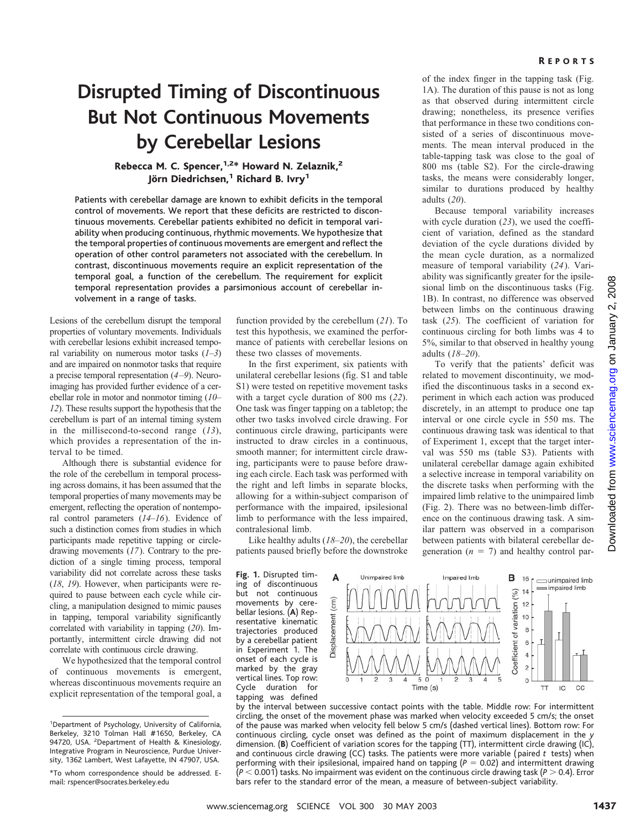### R EPORTS

# **Disrupted Timing of Discontinuous But Not Continuous Movements by Cerebellar Lesions**

## Rebecca M. C. Spencer, <sup>1,2\*</sup> Howard N. Zelaznik,<sup>2</sup> Jörn Diedrichsen,<sup>1</sup> Richard B. Ivry<sup>1</sup>

Patients with cerebellar damage are known to exhibit deficits in the temporal control of movements. We report that these deficits are restricted to discontinuous movements. Cerebellar patients exhibited no deficit in temporal variability when producing continuous, rhythmic movements. We hypothesize that the temporal properties of continuous movements are emergent and reflect the operation of other control parameters not associated with the cerebellum. In contrast, discontinuous movements require an explicit representation of the temporal goal, a function of the cerebellum. The requirement for explicit temporal representation provides a parsimonious account of cerebellar involvement in a range of tasks.

Lesions of the cerebellum disrupt the temporal properties of voluntary movements. Individuals with cerebellar lesions exhibit increased temporal variability on numerous motor tasks (*1*–*3*) and are impaired on nonmotor tasks that require a precise temporal representation (*4–9*). Neuroimaging has provided further evidence of a cerebellar role in motor and nonmotor timing (*10*– *12*). These results support the hypothesis that the cerebellum is part of an internal timing system in the millisecond-to-second range (*13*), which provides a representation of the interval to be timed.

Although there is substantial evidence for the role of the cerebellum in temporal processing across domains, it has been assumed that the temporal properties of many movements may be emergent, reflecting the operation of nontemporal control parameters (*14*–*16*). Evidence of such a distinction comes from studies in which participants made repetitive tapping or circledrawing movements (*17*). Contrary to the prediction of a single timing process, temporal variability did not correlate across these tasks (*18*, *19*). However, when participants were required to pause between each cycle while circling, a manipulation designed to mimic pauses in tapping, temporal variability significantly correlated with variability in tapping (*20*). Importantly, intermittent circle drawing did not correlate with continuous circle drawing.

We hypothesized that the temporal control of continuous movements is emergent, whereas discontinuous movements require an explicit representation of the temporal goal, a

function provided by the cerebellum (*21*). To test this hypothesis, we examined the performance of patients with cerebellar lesions on these two classes of movements.

In the first experiment, six patients with unilateral cerebellar lesions (fig. S1 and table S1) were tested on repetitive movement tasks with a target cycle duration of 800 ms (*22*). One task was finger tapping on a tabletop; the other two tasks involved circle drawing. For continuous circle drawing, participants were instructed to draw circles in a continuous, smooth manner; for intermittent circle drawing, participants were to pause before drawing each circle. Each task was performed with the right and left limbs in separate blocks, allowing for a within-subject comparison of performance with the impaired, ipsilesional limb to performance with the less impaired, contralesional limb.

Like healthy adults (*18*–*20*), the cerebellar patients paused briefly before the downstroke

**Fig. 1.** Disrupted timing of discontinuous but not continuous movements by cerebellar lesions. (**A**) Representative kinematic trajectories produced by a cerebellar patient in Experiment 1. The onset of each cycle is marked by the gray vertical lines. Top row: Cycle duration for tapping was defined



of the index finger in the tapping task (Fig. 1A). The duration of this pause is not as long as that observed during intermittent circle drawing; nonetheless, its presence verifies that performance in these two conditions consisted of a series of discontinuous movements. The mean interval produced in the table-tapping task was close to the goal of 800 ms (table S2). For the circle-drawing tasks, the means were considerably longer, similar to durations produced by healthy adults (*20*).

Because temporal variability increases with cycle duration (*23*), we used the coefficient of variation, defined as the standard deviation of the cycle durations divided by the mean cycle duration, as a normalized measure of temporal variability (*24*). Variability was significantly greater for the ipsilesional limb on the discontinuous tasks (Fig. 1B). In contrast, no difference was observed between limbs on the continuous drawing task (*25*). The coefficient of variation for continuous circling for both limbs was 4 to 5%, similar to that observed in healthy young adults (*18*–*20*).

To verify that the patients' deficit was related to movement discontinuity, we modified the discontinuous tasks in a second experiment in which each action was produced discretely, in an attempt to produce one tap interval or one circle cycle in 550 ms. The continuous drawing task was identical to that of Experiment 1, except that the target interval was 550 ms (table S3). Patients with unilateral cerebellar damage again exhibited a selective increase in temporal variability on the discrete tasks when performing with the impaired limb relative to the unimpaired limb (Fig. 2). There was no between-limb difference on the continuous drawing task. A similar pattern was observed in a comparison between patients with bilateral cerebellar degeneration  $(n = 7)$  and healthy control par-





bars refer to the standard error of the mean, a measure of between-subject variability.

<sup>&</sup>lt;sup>1</sup>Department of Psychology, University of California, Berkeley, 3210 Tolman Hall #1650, Berkeley, CA 94720, USA. <sup>2</sup>Department of Health & Kinesiology, Integrative Program in Neuroscience, Purdue University, 1362 Lambert, West Lafayette, IN 47907, USA.

<sup>\*</sup>To whom correspondence should be addressed. Email: rspencer@socrates.berkeley.edu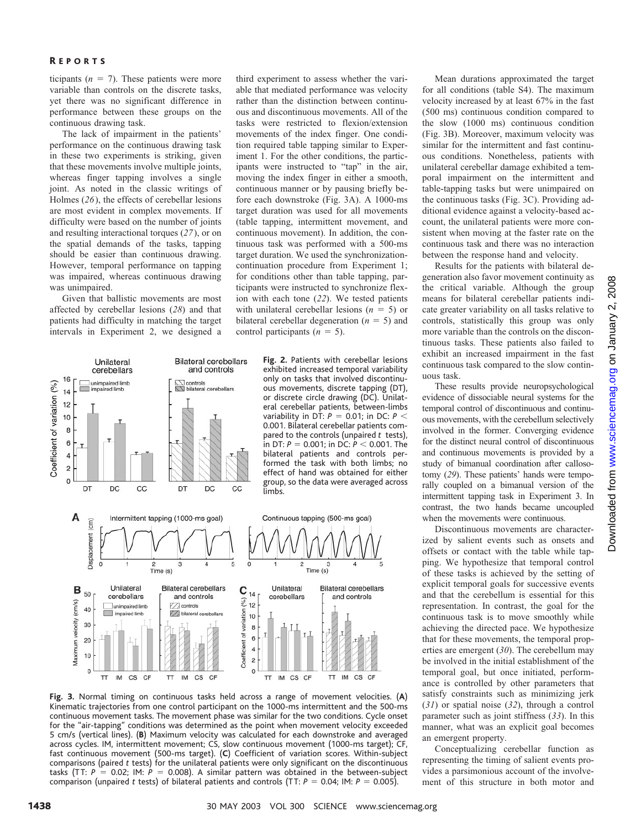### R EPORTS

ticipants  $(n = 7)$ . These patients were more variable than controls on the discrete tasks, yet there was no significant difference in performance between these groups on the continuous drawing task.

The lack of impairment in the patients' performance on the continuous drawing task in these two experiments is striking, given that these movements involve multiple joints, whereas finger tapping involves a single joint. As noted in the classic writings of Holmes (*26*), the effects of cerebellar lesions are most evident in complex movements. If difficulty were based on the number of joints and resulting interactional torques (*27*), or on the spatial demands of the tasks, tapping should be easier than continuous drawing. However, temporal performance on tapping was impaired, whereas continuous drawing was unimpaired.

Given that ballistic movements are most affected by cerebellar lesions (*28*) and that patients had difficulty in matching the target intervals in Experiment 2, we designed a

third experiment to assess whether the variable that mediated performance was velocity rather than the distinction between continuous and discontinuous movements. All of the tasks were restricted to flexion/extension movements of the index finger. One condition required table tapping similar to Experiment 1. For the other conditions, the participants were instructed to "tap" in the air, moving the index finger in either a smooth, continuous manner or by pausing briefly before each downstroke (Fig. 3A). A 1000-ms target duration was used for all movements (table tapping, intermittent movement, and continuous movement). In addition, the continuous task was performed with a 500-ms target duration. We used the synchronizationcontinuation procedure from Experiment 1; for conditions other than table tapping, participants were instructed to synchronize flexion with each tone (*22*). We tested patients with unilateral cerebellar lesions  $(n = 5)$  or bilateral cerebellar degeneration  $(n = 5)$  and control participants  $(n = 5)$ .



**Fig. 3.** Normal timing on continuous tasks held across a range of movement velocities. (**A**) Kinematic trajectories from one control participant on the 1000-ms intermittent and the 500-ms continuous movement tasks. The movement phase was similar for the two conditions. Cycle onset for the "air-tapping" conditions was determined as the point when movement velocity exceeded 5 cm/s (vertical lines). (**B**) Maximum velocity was calculated for each downstroke and averaged across cycles. IM, intermittent movement; CS, slow continuous movement (1000-ms target); CF, fast continuous movement (500-ms target). (**C**) Coefficient of variation scores. Within-subject comparisons (paired *t* tests) for the unilateral patients were only significant on the discontinuous tasks (TT:  $P = 0.02$ ; IM:  $P = 0.008$ ). A similar pattern was obtained in the between-subject comparison (unpaired *t* tests) of bilateral patients and controls (TT:  $P = 0.04$ ; IM:  $P = 0.005$ ).

Mean durations approximated the target for all conditions (table S4). The maximum velocity increased by at least 67% in the fast (500 ms) continuous condition compared to the slow (1000 ms) continuous condition (Fig. 3B). Moreover, maximum velocity was similar for the intermittent and fast continuous conditions. Nonetheless, patients with unilateral cerebellar damage exhibited a temporal impairment on the intermittent and table-tapping tasks but were unimpaired on the continuous tasks (Fig. 3C). Providing additional evidence against a velocity-based account, the unilateral patients were more consistent when moving at the faster rate on the continuous task and there was no interaction between the response hand and velocity.

Results for the patients with bilateral degeneration also favor movement continuity as the critical variable. Although the group means for bilateral cerebellar patients indicate greater variability on all tasks relative to controls, statistically this group was only more variable than the controls on the discontinuous tasks. These patients also failed to exhibit an increased impairment in the fast continuous task compared to the slow continuous task.

These results provide neuropsychological evidence of dissociable neural systems for the temporal control of discontinuous and continuous movements, with the cerebellum selectively involved in the former. Converging evidence for the distinct neural control of discontinuous and continuous movements is provided by a study of bimanual coordination after callosotomy (*29*). These patients' hands were temporally coupled on a bimanual version of the intermittent tapping task in Experiment 3. In contrast, the two hands became uncoupled when the movements were continuous.

Discontinuous movements are characterized by salient events such as onsets and offsets or contact with the table while tapping. We hypothesize that temporal control of these tasks is achieved by the setting of explicit temporal goals for successive events and that the cerebellum is essential for this representation. In contrast, the goal for the continuous task is to move smoothly while achieving the directed pace. We hypothesize that for these movements, the temporal properties are emergent (*30*). The cerebellum may be involved in the initial establishment of the temporal goal, but once initiated, performance is controlled by other parameters that satisfy constraints such as minimizing jerk (*31*) or spatial noise (*32*), through a control parameter such as joint stiffness (*33*). In this manner, what was an explicit goal becomes an emergent property.

Conceptualizing cerebellar function as representing the timing of salient events provides a parsimonious account of the involvement of this structure in both motor and